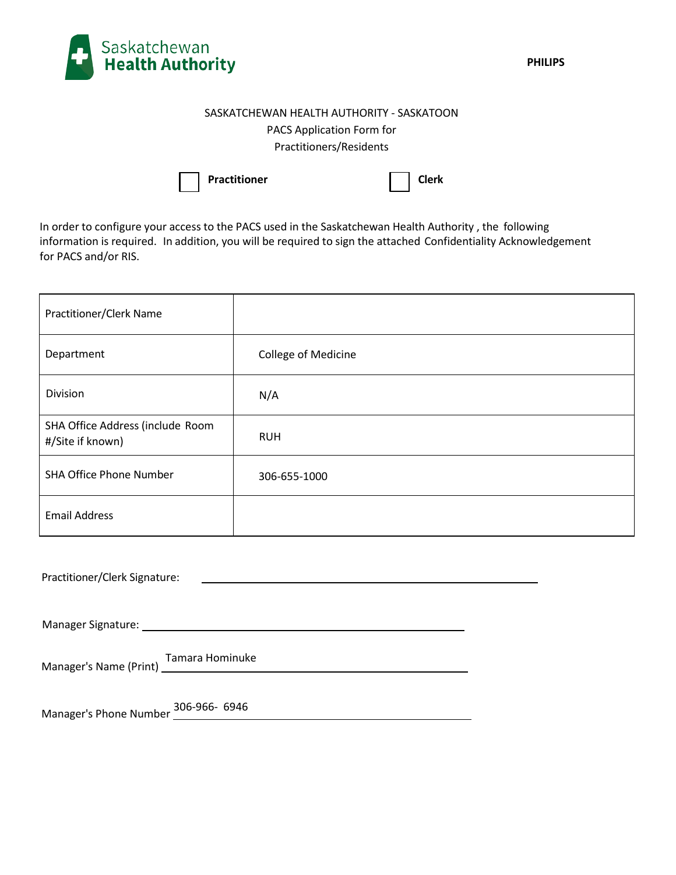

## SASKATCHEWAN HEALTH AUTHORITY - SASKATOON PACS Application Form for Practitioners/Residents

|  | Practitioner |
|--|--------------|
|--|--------------|

**Practitioner Clerk**

In order to configure your access to the PACS used in the Saskatchewan Health Authority , the following information is required. In addition, you will be required to sign the attached Confidentiality Acknowledgement for PACS and/or RIS.

| Practitioner/Clerk Name                                                                                                                                |                     |  |
|--------------------------------------------------------------------------------------------------------------------------------------------------------|---------------------|--|
| Department                                                                                                                                             | College of Medicine |  |
| Division                                                                                                                                               | N/A                 |  |
| SHA Office Address (include Room<br>#/Site if known)                                                                                                   | <b>RUH</b>          |  |
| <b>SHA Office Phone Number</b>                                                                                                                         | 306-655-1000        |  |
| <b>Email Address</b>                                                                                                                                   |                     |  |
| Practitioner/Clerk Signature:<br><u> 1989 - Johann Barn, amerikan besteman besteman besteman besteman besteman besteman besteman besteman besteman</u> |                     |  |
|                                                                                                                                                        |                     |  |
| Managarla Nava (p. A. A. Tamara Hominuke                                                                                                               |                     |  |

| Practitioner/Clerk Signature: |  |
|-------------------------------|--|
|-------------------------------|--|

Manager's Name (Print) Tamara Hominuke

Manager's Phone Number 306-966- 6946